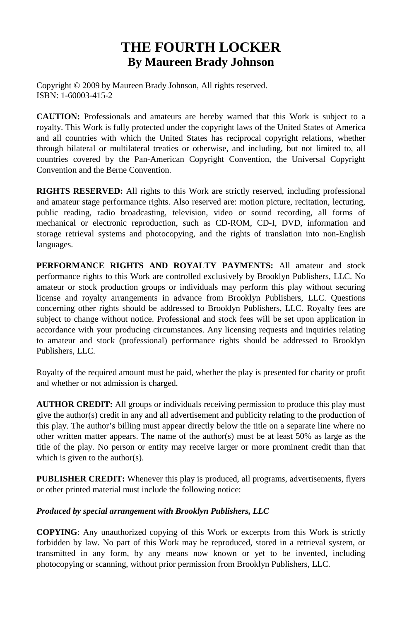### **THE FOURTH LOCKER By Maureen Brady Johnson**

Copyright © 2009 by Maureen Brady Johnson, All rights reserved. ISBN: 1-60003-415-2

**CAUTION:** Professionals and amateurs are hereby warned that this Work is subject to a royalty. This Work is fully protected under the copyright laws of the United States of America and all countries with which the United States has reciprocal copyright relations, whether through bilateral or multilateral treaties or otherwise, and including, but not limited to, all countries covered by the Pan-American Copyright Convention, the Universal Copyright Convention and the Berne Convention.

**RIGHTS RESERVED:** All rights to this Work are strictly reserved, including professional and amateur stage performance rights. Also reserved are: motion picture, recitation, lecturing, public reading, radio broadcasting, television, video or sound recording, all forms of mechanical or electronic reproduction, such as CD-ROM, CD-I, DVD, information and storage retrieval systems and photocopying, and the rights of translation into non-English languages.

**PERFORMANCE RIGHTS AND ROYALTY PAYMENTS:** All amateur and stock performance rights to this Work are controlled exclusively by Brooklyn Publishers, LLC. No amateur or stock production groups or individuals may perform this play without securing license and royalty arrangements in advance from Brooklyn Publishers, LLC. Questions concerning other rights should be addressed to Brooklyn Publishers, LLC. Royalty fees are subject to change without notice. Professional and stock fees will be set upon application in accordance with your producing circumstances. Any licensing requests and inquiries relating to amateur and stock (professional) performance rights should be addressed to Brooklyn Publishers, LLC.

Royalty of the required amount must be paid, whether the play is presented for charity or profit and whether or not admission is charged.

**AUTHOR CREDIT:** All groups or individuals receiving permission to produce this play must give the author(s) credit in any and all advertisement and publicity relating to the production of this play. The author's billing must appear directly below the title on a separate line where no other written matter appears. The name of the author(s) must be at least 50% as large as the title of the play. No person or entity may receive larger or more prominent credit than that which is given to the author(s).

**PUBLISHER CREDIT:** Whenever this play is produced, all programs, advertisements, flyers or other printed material must include the following notice:

#### *Produced by special arrangement with Brooklyn Publishers, LLC*

**COPYING**: Any unauthorized copying of this Work or excerpts from this Work is strictly forbidden by law. No part of this Work may be reproduced, stored in a retrieval system, or transmitted in any form, by any means now known or yet to be invented, including photocopying or scanning, without prior permission from Brooklyn Publishers, LLC.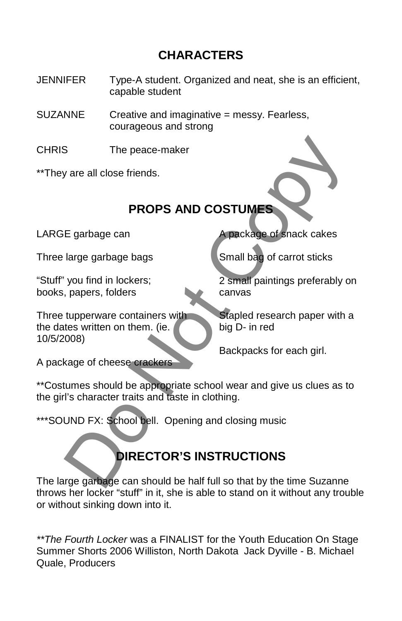## **CHARACTERS**

JENNIFER Type-A student. Organized and neat, she is an efficient, capable student

SUZANNE Creative and imaginative = messy. Fearless, courageous and strong

CHRIS The peace-maker

\*\*They are all close friends.

# **PROPS AND COSTUMES**

LARGE garbage can

Three large garbage bags

"Stuff" you find in lockers; books, papers, folders

Three tupperware containers with the dates written on them. (ie. 10/5/2008)

A package of cheese crackers

A package of snack cakes

Small bag of carrot sticks

2 small paintings preferably on canvas

Stapled research paper with a big D- in red

Backpacks for each girl.

\*\*Costumes should be appropriate school wear and give us clues as to the girl's character traits and taste in clothing. The peace-maker<br>
yare all close friends.<br>
PROPS AND COSTUMES<br>
E garbage can<br>
large garbage bags<br>
you find in lockers;<br>
you find in lockers;<br>
tupperware containers with<br>
tupperware containers with<br>
tupperware containers wit

\*\*\*SOUND FX: School bell. Opening and closing music

# **DIRECTOR'S INSTRUCTIONS**

The large garbage can should be half full so that by the time Suzanne throws her locker "stuff" in it, she is able to stand on it without any trouble or without sinking down into it.

*\*\*The Fourth Locker* was a FINALIST for the Youth Education On Stage Summer Shorts 2006 Williston, North Dakota Jack Dyville - B. Michael Quale, Producers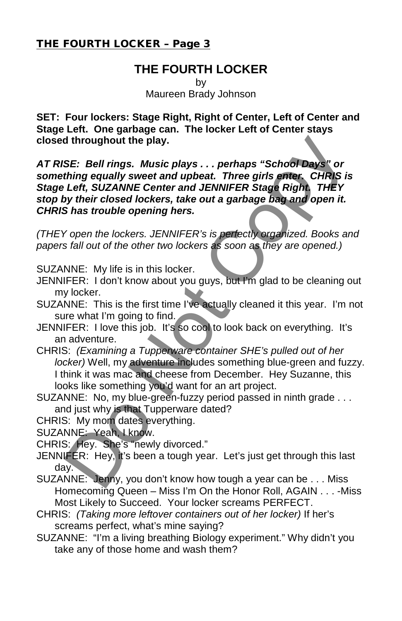### **THE FOURTH LOCKER**

by Maureen Brady Johnson

**SET: Four lockers: Stage Right, Right of Center, Left of Center and Stage Left. One garbage can. The locker Left of Center stays closed throughout the play.**

*AT RISE: Bell rings. Music plays . . . perhaps "School Days" or something equally sweet and upbeat. Three girls enter. CHRIS is Stage Left, SUZANNE Center and JENNIFER Stage Right. THEY stop by their closed lockers, take out a garbage bag and open it. CHRIS has trouble opening hers.* SE: Bell rings. Music plays.... perhaps "School Days" or<br>SE: Bell rings. Music plays.... perhaps "School Days" or<br>thing equally sweet and upbeat. Three girls enter, CHRIS is<br>that, SUZANNE Center and JENNIFER Stage Right. T

*(THEY open the lockers. JENNIFER's is perfectly organized. Books and papers fall out of the other two lockers as soon as they are opened.)* 

SUZANNE: My life is in this locker.

- JENNIFER: I don't know about you guys, but I'm glad to be cleaning out my locker.
- SUZANNE: This is the first time I've actually cleaned it this year. I'm not sure what I'm going to find.
- JENNIFER: I love this job. It's so cool to look back on everything. It's an adventure.
- CHRIS: *(Examining a Tupperware container SHE's pulled out of her locker)* Well, my adventure includes something blue-green and fuzzy. I think it was mac and cheese from December. Hey Suzanne, this looks like something you'd want for an art project.
- SUZANNE: No, my blue-green-fuzzy period passed in ninth grade . . . and just why is that Tupperware dated?

CHRIS: My mom dates everything.

SUZANNE: Yeah, I know.

- CHRIS: Hey. She's "newly divorced."
- JENNIFER: Hey, it's been a tough year. Let's just get through this last day.
- SUZANNE: Jenny, you don't know how tough a year can be . . . Miss Homecoming Queen – Miss I'm On the Honor Roll, AGAIN . . . -Miss Most Likely to Succeed. Your locker screams PERFECT.
- CHRIS: *(Taking more leftover containers out of her locker)* If her's screams perfect, what's mine saying?
- SUZANNE: "I'm a living breathing Biology experiment." Why didn't you take any of those home and wash them?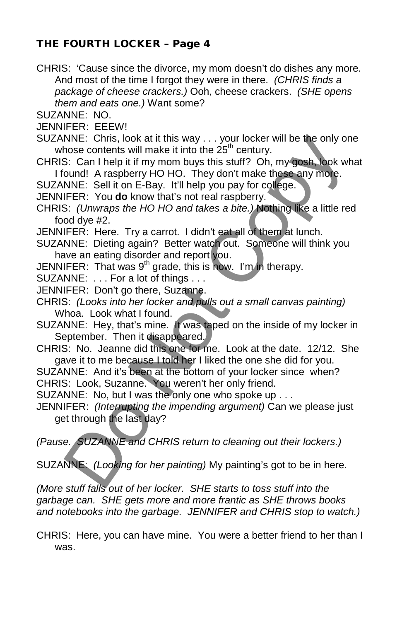CHRIS: 'Cause since the divorce, my mom doesn't do dishes any more. And most of the time I forgot they were in there. *(CHRIS finds a package of cheese crackers.)* Ooh, cheese crackers. *(SHE opens them and eats one.)* Want some?

SUZANNE: NO.

JENNIFER: EEEW!

- SUZANNE: Chris, look at it this way . . . your locker will be the only one whose contents will make it into the  $25<sup>th</sup>$  century.
- CHRIS: Can I help it if my mom buys this stuff? Oh, my gosh, look what I found! A raspberry HO HO. They don't make these any more.
- SUZANNE: Sell it on E-Bay. It'll help you pay for college.
- JENNIFER: You **do** know that's not real raspberry.
- CHRIS: *(Unwraps the HO HO and takes a bite.)* Nothing like a little red food dye #2. NNE: Chris, look at it this way ... your locker will be the only or<br>nose contents will make it into the 25<sup>th</sup> century.<br>
S: Can I help it if my mom buys this stuff? Oh, my **gosh.** look wi<br>
since contents will make it into
- JENNIFER: Here. Try a carrot. I didn't eat all of them at lunch.
- SUZANNE: Dieting again? Better watch out. Someone will think you have an eating disorder and report you.
- JENNIFER: That was  $9<sup>th</sup>$  grade, this is now. I'm in therapy.
- SUZANNE: . . . For a lot of things . . .
- JENNIFER: Don't go there, Suzanne.
- CHRIS: *(Looks into her locker and pulls out a small canvas painting)* Whoa. Look what I found.
- SUZANNE: Hey, that's mine. It was taped on the inside of my locker in September. Then it disappeared.
- CHRIS: No. Jeanne did this one for me. Look at the date. 12/12. She gave it to me because I told her I liked the one she did for you.
- SUZANNE: And it's been at the bottom of your locker since when? CHRIS: Look, Suzanne. You weren't her only friend.
- SUZANNE: No, but I was the only one who spoke up . . .
- JENNIFER: *(Interrupting the impending argument)* Can we please just get through the last day?

*(Pause. SUZANNE and CHRIS return to cleaning out their lockers.)* 

SUZANNE: *(Looking for her painting)* My painting's got to be in here.

*(More stuff falls out of her locker. SHE starts to toss stuff into the garbage can. SHE gets more and more frantic as SHE throws books and notebooks into the garbage. JENNIFER and CHRIS stop to watch.)* 

CHRIS: Here, you can have mine. You were a better friend to her than I was.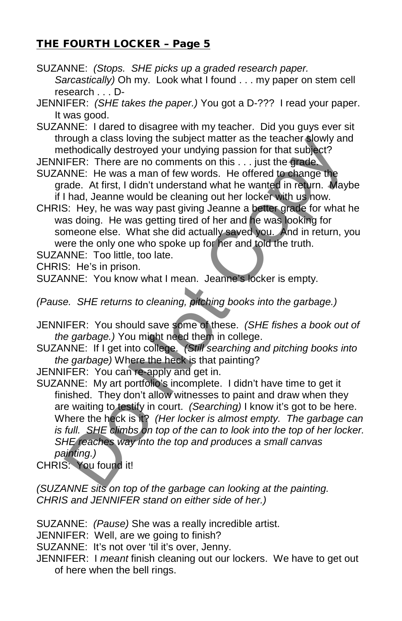SUZANNE: *(Stops. SHE picks up a graded research paper. Sarcastically)* Oh my. Look what I found . . . my paper on stem cell research . . . D-

JENNIFER: *(SHE takes the paper.)* You got a D-??? I read your paper. It was good.

SUZANNE: I dared to disagree with my teacher. Did you guys ever sit through a class loving the subject matter as the teacher slowly and methodically destroyed your undying passion for that subject?

JENNIFER: There are no comments on this . . . just the grade.

SUZANNE: He was a man of few words. He offered to change the grade. At first, I didn't understand what he wanted in return. Maybe if I had, Jeanne would be cleaning out her locker with us now.

CHRIS: Hey, he was way past giving Jeanne a better grade for what he was doing. He was getting tired of her and he was looking for someone else. What she did actually saved you. And in return, you were the only one who spoke up for her and told the truth.

SUZANNE: Too little, too late.

CHRIS: He's in prison.

SUZANNE: You know what I mean. Jeanne's locker is empty.

*(Pause. SHE returns to cleaning, pitching books into the garbage.)* 

JENNIFER: You should save some of these. *(SHE fishes a book out of the garbage.)* You might need them in college.

SUZANNE: If I get into college. *(Still searching and pitching books into the garbage)* Where the heck is that painting?

JENNIFER: You can re-apply and get in.

SUZANNE: My art portfolio's incomplete. I didn't have time to get it finished. They don't allow witnesses to paint and draw when they are waiting to testify in court. *(Searching)* I know it's got to be here. Where the heck is it? *(Her locker is almost empty. The garbage can is full. SHE climbs on top of the can to look into the top of her locker. SHE reaches way into the top and produces a small canvas painting.)*  rough a class loving the subject matter as the teacher slowly and<br>ethodically destroyed your undying passion for that subject?<br>THER: There are no comments on this ... just the grade.<br>NNE: He was a man of few words. He offe

CHRIS: You found it!

*(SUZANNE sits on top of the garbage can looking at the painting. CHRIS and JENNIFER stand on either side of her.)*

SUZANNE: *(Pause)* She was a really incredible artist.

JENNIFER: Well, are we going to finish?

SUZANNE: It's not over 'til it's over, Jenny.

JENNIFER: I *meant* finish cleaning out our lockers. We have to get out of here when the bell rings.